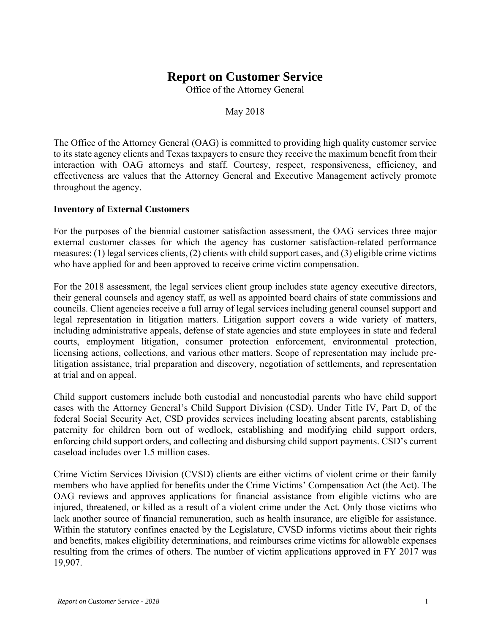# **Report on Customer Service**

Office of the Attorney General

May 2018

The Office of the Attorney General (OAG) is committed to providing high quality customer service to its state agency clients and Texas taxpayers to ensure they receive the maximum benefit from their interaction with OAG attorneys and staff. Courtesy, respect, responsiveness, efficiency, and effectiveness are values that the Attorney General and Executive Management actively promote throughout the agency.

### **Inventory of External Customers**

For the purposes of the biennial customer satisfaction assessment, the OAG services three major external customer classes for which the agency has customer satisfaction-related performance measures: (1) legal services clients, (2) clients with child support cases, and (3) eligible crime victims who have applied for and been approved to receive crime victim compensation.

For the 2018 assessment, the legal services client group includes state agency executive directors, their general counsels and agency staff, as well as appointed board chairs of state commissions and councils. Client agencies receive a full array of legal services including general counsel support and legal representation in litigation matters. Litigation support covers a wide variety of matters, including administrative appeals, defense of state agencies and state employees in state and federal courts, employment litigation, consumer protection enforcement, environmental protection, licensing actions, collections, and various other matters. Scope of representation may include prelitigation assistance, trial preparation and discovery, negotiation of settlements, and representation at trial and on appeal.

Child support customers include both custodial and noncustodial parents who have child support cases with the Attorney General's Child Support Division (CSD). Under Title IV, Part D, of the federal Social Security Act, CSD provides services including locating absent parents, establishing paternity for children born out of wedlock, establishing and modifying child support orders, enforcing child support orders, and collecting and disbursing child support payments. CSD's current caseload includes over 1.5 million cases.

Crime Victim Services Division (CVSD) clients are either victims of violent crime or their family members who have applied for benefits under the Crime Victims' Compensation Act (the Act). The OAG reviews and approves applications for financial assistance from eligible victims who are injured, threatened, or killed as a result of a violent crime under the Act. Only those victims who lack another source of financial remuneration, such as health insurance, are eligible for assistance. Within the statutory confines enacted by the Legislature, CVSD informs victims about their rights and benefits, makes eligibility determinations, and reimburses crime victims for allowable expenses resulting from the crimes of others. The number of victim applications approved in FY 2017 was 19,907.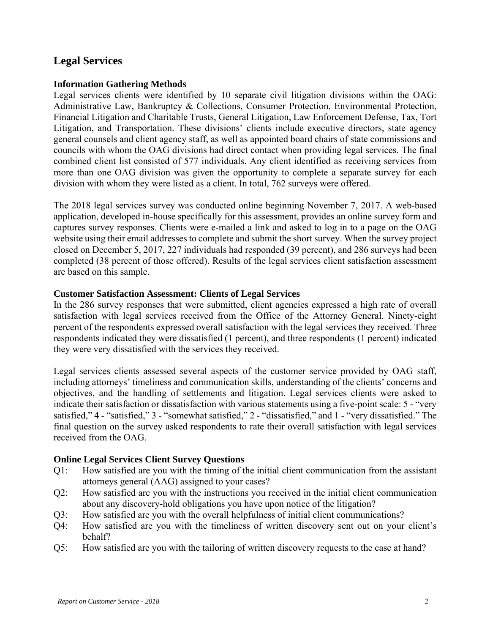# **Legal Services**

## **Information Gathering Methods**

Legal services clients were identified by 10 separate civil litigation divisions within the OAG: Administrative Law, Bankruptcy & Collections, Consumer Protection, Environmental Protection, Financial Litigation and Charitable Trusts, General Litigation, Law Enforcement Defense, Tax, Tort Litigation, and Transportation. These divisions' clients include executive directors, state agency general counsels and client agency staff, as well as appointed board chairs of state commissions and councils with whom the OAG divisions had direct contact when providing legal services. The final combined client list consisted of 577 individuals. Any client identified as receiving services from more than one OAG division was given the opportunity to complete a separate survey for each division with whom they were listed as a client. In total, 762 surveys were offered.

The 2018 legal services survey was conducted online beginning November 7, 2017. A web-based application, developed in-house specifically for this assessment, provides an online survey form and captures survey responses. Clients were e-mailed a link and asked to log in to a page on the OAG website using their email addresses to complete and submit the short survey. When the survey project closed on December 5, 2017, 227 individuals had responded (39 percent), and 286 surveys had been completed (38 percent of those offered). Results of the legal services client satisfaction assessment are based on this sample.

## **Customer Satisfaction Assessment: Clients of Legal Services**

In the 286 survey responses that were submitted, client agencies expressed a high rate of overall satisfaction with legal services received from the Office of the Attorney General. Ninety-eight percent of the respondents expressed overall satisfaction with the legal services they received. Three respondents indicated they were dissatisfied (1 percent), and three respondents (1 percent) indicated they were very dissatisfied with the services they received.

Legal services clients assessed several aspects of the customer service provided by OAG staff, including attorneys' timeliness and communication skills, understanding of the clients' concerns and objectives, and the handling of settlements and litigation. Legal services clients were asked to indicate their satisfaction or dissatisfaction with various statements using a five-point scale: 5 - "very satisfied," 4 - "satisfied," 3 - "somewhat satisfied," 2 - "dissatisfied," and 1 - "very dissatisfied." The final question on the survey asked respondents to rate their overall satisfaction with legal services received from the OAG.

## **Online Legal Services Client Survey Questions**

- Q1: How satisfied are you with the timing of the initial client communication from the assistant attorneys general (AAG) assigned to your cases?
- Q2: How satisfied are you with the instructions you received in the initial client communication about any discovery-hold obligations you have upon notice of the litigation?
- Q3: How satisfied are you with the overall helpfulness of initial client communications?
- Q4: How satisfied are you with the timeliness of written discovery sent out on your client's behalf?
- Q5: How satisfied are you with the tailoring of written discovery requests to the case at hand?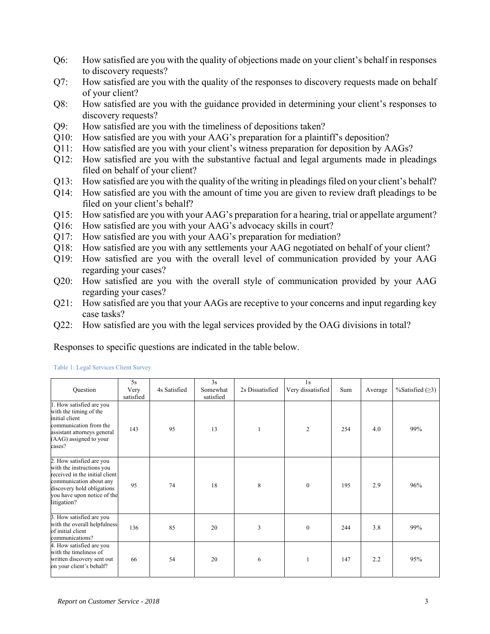- Q6: How satisfied are you with the quality of objections made on your client's behalf in responses to discovery requests?
- Q7: How satisfied are you with the quality of the responses to discovery requests made on behalf of your client?
- Q8: How satisfied are you with the guidance provided in determining your client's responses to discovery requests?
- Q9: How satisfied are you with the timeliness of depositions taken?
- Q10: How satisfied are you with your AAG's preparation for a plaintiff's deposition?
- Q11: How satisfied are you with your client's witness preparation for deposition by AAGs?
- Q12: How satisfied are you with the substantive factual and legal arguments made in pleadings filed on behalf of your client?
- Q13: How satisfied are you with the quality of the writing in pleadings filed on your client's behalf?
- Q14: How satisfied are you with the amount of time you are given to review draft pleadings to be filed on your client's behalf?
- Q15: How satisfied are you with your AAG's preparation for a hearing, trial or appellate argument?
- Q16: How satisfied are you with your AAG's advocacy skills in court?
- Q17: How satisfied are you with your AAG's preparation for mediation?
- Q18: How satisfied are you with any settlements your AAG negotiated on behalf of your client?
- Q19: How satisfied are you with the overall level of communication provided by your AAG regarding your cases?
- Q20: How satisfied are you with the overall style of communication provided by your AAG regarding your cases?
- Q21: How satisfied are you that your AAGs are receptive to your concerns and input regarding key case tasks?
- Q22: How satisfied are you with the legal services provided by the OAG divisions in total?

Responses to specific questions are indicated in the table below.

| Question                                                                                                                                                                                       | 5s<br>Very<br>satisfied | 4s Satisfied | 3s<br>Somewhat<br>satisfied | 2s Dissatisfied | 1s<br>Very dissatisfied | Sum | Average | %Satisfied $(≥3)$ |
|------------------------------------------------------------------------------------------------------------------------------------------------------------------------------------------------|-------------------------|--------------|-----------------------------|-----------------|-------------------------|-----|---------|-------------------|
| 1. How satisfied are you<br>with the timing of the<br>initial client<br>communication from the<br>assistant attorneys general<br>(AAG) assigned to your<br>cases?                              | 143                     | 95           | 13                          |                 | $\overline{2}$          | 254 | 4.0     | 99%               |
| 2. How satisfied are you<br>with the instructions you<br>received in the initial client<br>communication about any<br>discovery hold obligations<br>you have upon notice of the<br>litigation? | 95                      | 74           | 18                          | 8               | $\mathbf{0}$            | 195 | 2.9     | 96%               |
| 3. How satisfied are you<br>with the overall helpfulness<br>of initial client<br>communications?                                                                                               | 136                     | 85           | 20                          | 3               | $\mathbf{0}$            | 244 | 3.8     | 99%               |
| 4. How satisfied are you<br>with the timeliness of<br>written discovery sent out<br>on your client's behalf?                                                                                   | 66                      | 54           | 20                          | 6               | $\mathbf{1}$            | 147 | 2.2     | 95%               |

Table 1: Legal Services Client Survey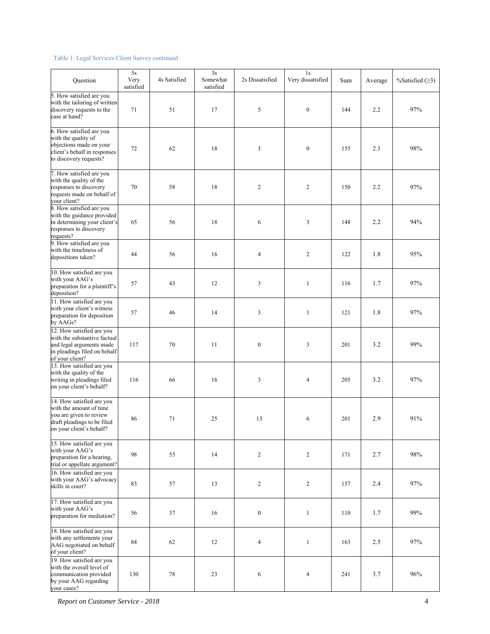### Table 1: Legal Services Client Survey continued

| Question                                                                                                                                   | $5s$<br>Very<br>satisfied | 4s Satisfied | $3s$<br>Somewhat<br>satisfied | 2s Dissatisfied          | 1s<br>Very dissatisfied | Sum | Average | %Satisfied $(≥3)$ |
|--------------------------------------------------------------------------------------------------------------------------------------------|---------------------------|--------------|-------------------------------|--------------------------|-------------------------|-----|---------|-------------------|
| 5. How satisfied are you<br>with the tailoring of written<br>discovery requests to the<br>case at hand?                                    | 71                        | 51           | 17                            | 5                        | $\boldsymbol{0}$        | 144 | 2.2     | 97%               |
| 6. How satisfied are you<br>with the quality of<br>objections made on your<br>client's behalf in responses<br>to discovery requests?       | 72                        | 62           | 18                            | 3                        | $\boldsymbol{0}$        | 155 | 2.3     | $98\%$            |
| 7. How satisfied are you<br>with the quality of the<br>responses to discovery<br>requests made on behalf of<br>your client?                | 70                        | 58           | 18                            | 2                        | $\overline{c}$          | 150 | 2.2     | 97%               |
| 8. How satisfied are you<br>with the guidance provided<br>in determining your client's<br>responses to discovery<br>requests?              | 65                        | 56           | 18                            | 6                        | 3                       | 148 | 2.2     | 94%               |
| 9. How satisfied are you<br>with the timeliness of<br>depositions taken?                                                                   | 44                        | 56           | 16                            | 4                        | $\overline{c}$          | 122 | 1.8     | 95%               |
| 10. How satisfied are you<br>with your AAG's<br>preparation for a plaintiff's<br>deposition?                                               | 57                        | 43           | 12                            | 3                        | $\mathbf{1}$            | 116 | 1.7     | 97%               |
| 11. How satisfied are you<br>with your client's witness<br>preparation for deposition<br>by AAGs?                                          | 57                        | 46           | 14                            | 3                        | $\mathbf{1}$            | 121 | 1.8     | 97%               |
| 12. How satisfied are you<br>with the substantive factual<br>and legal arguments made<br>in pleadings filed on behalf<br>of your client?   | 117                       | 70           | 11                            | $\boldsymbol{0}$         | 3                       | 201 | 3.2     | 99%               |
| 13. How satisfied are you<br>with the quality of the<br>writing in pleadings filed<br>on your client's behalf?                             | 116                       | 66           | 16                            | 3                        | $\overline{4}$          | 205 | 3.2     | 97%               |
| 14. How satisfied are you<br>with the amount of time<br>you are given to review<br>draft pleadings to be filed<br>on your client's behalf? | 86                        | 71           | 25                            | 13                       | 6                       | 201 | 2.9     | 91%               |
| 15. How satisfied are you<br>with your AAG's<br>preparation for a hearing,<br>trial or appellate argument?                                 | 98                        | 55           | 14                            | $\overline{c}$           | $\overline{c}$          | 171 | 2.7     | $98\%$            |
| 16. How satisfied are you<br>with your AAG's advocacy<br>skills in court?                                                                  | 83                        | 57           | 13                            | $\overline{c}$           | $\boldsymbol{2}$        | 157 | 2.4     | 97%               |
| 17. How satisfied are you<br>with your AAG's<br>preparation for mediation?                                                                 | 56                        | 37           | 16                            | $\boldsymbol{0}$         | $\mathbf{1}$            | 110 | 1.7     | 99%               |
| 18. How satisfied are you<br>with any settlements your<br>AAG negotiated on behalf<br>of your client?                                      | 84                        | 62           | 12                            | $\overline{\mathcal{L}}$ | $\mathbf{1}$            | 163 | 2.5     | 97%               |
| 19. How satisfied are you<br>with the overall level of<br>communication provided<br>by your AAG regarding<br>your cases?                   | 130                       | 78           | 23                            | 6                        | $\overline{4}$          | 241 | 3.7     | 96%               |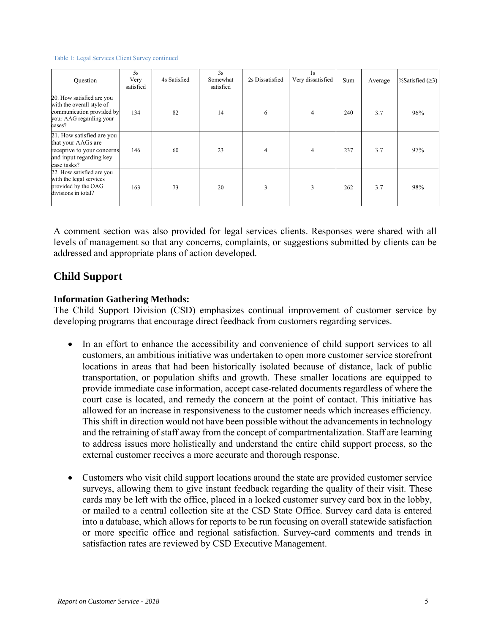#### Table 1: Legal Services Client Survey continued

| Ouestion                                                                                                                 | 5s<br>Very<br>satisfied | 4s Satisfied | 3s<br>Somewhat<br>satisfied | 2s Dissatisfied | 1s<br>Very dissatisfied | Sum | Average | $\%$ Satisfied ( $\geq$ 3) |
|--------------------------------------------------------------------------------------------------------------------------|-------------------------|--------------|-----------------------------|-----------------|-------------------------|-----|---------|----------------------------|
| 20. How satisfied are you<br>with the overall style of<br>communication provided by<br>your AAG regarding your<br>cases? | 134                     | 82           | 14                          | 6               | $\overline{4}$          | 240 | 3.7     | 96%                        |
| 21. How satisfied are you<br>that your AAGs are<br>receptive to your concerns<br>and input regarding key<br>case tasks?  | 146                     | 60           | 23                          | 4               | $\overline{4}$          | 237 | 3.7     | 97%                        |
| 22. How satisfied are you<br>with the legal services<br>provided by the OAG<br>divisions in total?                       | 163                     | 73           | 20                          | 3               | 3                       | 262 | 3.7     | 98%                        |

A comment section was also provided for legal services clients. Responses were shared with all levels of management so that any concerns, complaints, or suggestions submitted by clients can be addressed and appropriate plans of action developed.

# **Child Support**

### **Information Gathering Methods:**

The Child Support Division (CSD) emphasizes continual improvement of customer service by developing programs that encourage direct feedback from customers regarding services.

- In an effort to enhance the accessibility and convenience of child support services to all customers, an ambitious initiative was undertaken to open more customer service storefront locations in areas that had been historically isolated because of distance, lack of public transportation, or population shifts and growth. These smaller locations are equipped to provide immediate case information, accept case-related documents regardless of where the court case is located, and remedy the concern at the point of contact. This initiative has allowed for an increase in responsiveness to the customer needs which increases efficiency. This shift in direction would not have been possible without the advancements in technology and the retraining of staff away from the concept of compartmentalization. Staff are learning to address issues more holistically and understand the entire child support process, so the external customer receives a more accurate and thorough response.
- Customers who visit child support locations around the state are provided customer service surveys, allowing them to give instant feedback regarding the quality of their visit. These cards may be left with the office, placed in a locked customer survey card box in the lobby, or mailed to a central collection site at the CSD State Office. Survey card data is entered into a database, which allows for reports to be run focusing on overall statewide satisfaction or more specific office and regional satisfaction. Survey-card comments and trends in satisfaction rates are reviewed by CSD Executive Management.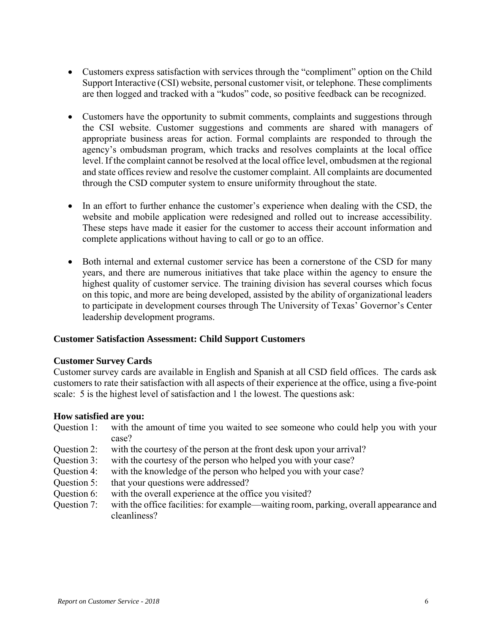- Customers express satisfaction with services through the "compliment" option on the Child Support Interactive (CSI) website, personal customer visit, or telephone. These compliments are then logged and tracked with a "kudos" code, so positive feedback can be recognized.
- Customers have the opportunity to submit comments, complaints and suggestions through the CSI website. Customer suggestions and comments are shared with managers of appropriate business areas for action. Formal complaints are responded to through the agency's ombudsman program, which tracks and resolves complaints at the local office level. If the complaint cannot be resolved at the local office level, ombudsmen at the regional and state offices review and resolve the customer complaint. All complaints are documented through the CSD computer system to ensure uniformity throughout the state.
- In an effort to further enhance the customer's experience when dealing with the CSD, the website and mobile application were redesigned and rolled out to increase accessibility. These steps have made it easier for the customer to access their account information and complete applications without having to call or go to an office.
- Both internal and external customer service has been a cornerstone of the CSD for many years, and there are numerous initiatives that take place within the agency to ensure the highest quality of customer service. The training division has several courses which focus on this topic, and more are being developed, assisted by the ability of organizational leaders to participate in development courses through The University of Texas' Governor's Center leadership development programs.

## **Customer Satisfaction Assessment: Child Support Customers**

### **Customer Survey Cards**

Customer survey cards are available in English and Spanish at all CSD field offices. The cards ask customers to rate their satisfaction with all aspects of their experience at the office, using a five-point scale: 5 is the highest level of satisfaction and 1 the lowest. The questions ask:

### **How satisfied are you:**

| Question 1: with the amount of time you waited to see someone who could help you with your |
|--------------------------------------------------------------------------------------------|
| case?                                                                                      |

- Question 2: with the courtesy of the person at the front desk upon your arrival?
- Question 3: with the courtesy of the person who helped you with your case?
- Question 4: with the knowledge of the person who helped you with your case?
- Question 5: that your questions were addressed?
- Question 6: with the overall experience at the office you visited?
- Question 7: with the office facilities: for example—waiting room, parking, overall appearance and cleanliness?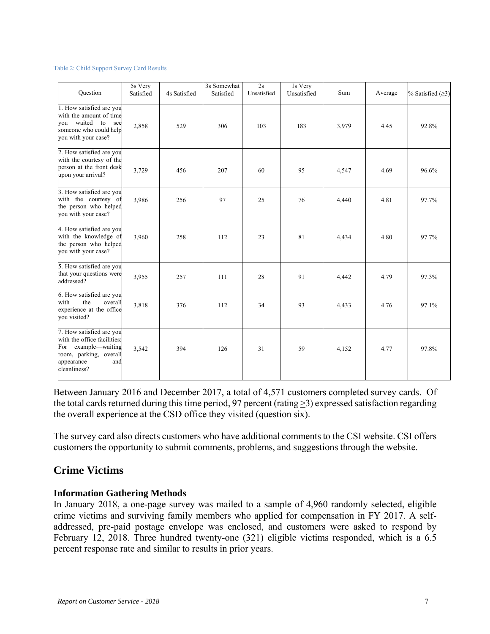#### Table 2: Child Support Survey Card Results

| Ouestion                                                                                                                                      | 5s Very<br>Satisfied | 4s Satisfied | 3s Somewhat<br>Satisfied | 2s<br>Unsatisfied | 1s Very<br>Unsatisfied | Sum   | Average | % Satisfied $( \geq 3)$ |
|-----------------------------------------------------------------------------------------------------------------------------------------------|----------------------|--------------|--------------------------|-------------------|------------------------|-------|---------|-------------------------|
| 1. How satisfied are you<br>with the amount of time<br>waited<br>to<br>vou<br>see<br>someone who could help<br>you with your case?            | 2,858                | 529          | 306                      | 103               | 183                    | 3,979 | 4.45    | 92.8%                   |
| 2. How satisfied are you<br>with the courtesy of the<br>person at the front desk<br>upon your arrival?                                        | 3,729                | 456          | 207                      | 60                | 95                     | 4,547 | 4.69    | 96.6%                   |
| 3. How satisfied are you<br>with the courtesy of<br>the person who helped<br>you with your case?                                              | 3,986                | 256          | 97                       | 25                | 76                     | 4,440 | 4.81    | 97.7%                   |
| 4. How satisfied are you<br>with the knowledge of<br>the person who helped<br>you with your case?                                             | 3,960                | 258          | 112                      | 23                | 81                     | 4,434 | 4.80    | 97.7%                   |
| 5. How satisfied are you<br>that your questions were<br>addressed?                                                                            | 3,955                | 257          | 111                      | 28                | 91                     | 4,442 | 4.79    | 97.3%                   |
| 6. How satisfied are you<br>with<br>the<br>overall<br>experience at the office<br>vou visited?                                                | 3,818                | 376          | 112                      | 34                | 93                     | 4,433 | 4.76    | 97.1%                   |
| 7. How satisfied are you<br>with the office facilities:<br>For example—waiting<br>room, parking, overall<br>appearance<br>and<br>cleanliness? | 3,542                | 394          | 126                      | 31                | 59                     | 4,152 | 4.77    | 97.8%                   |

Between January 2016 and December 2017, a total of 4,571 customers completed survey cards. Of the total cards returned during this time period, 97 percent (rating >3) expressed satisfaction regarding the overall experience at the CSD office they visited (question six).

The survey card also directs customers who have additional comments to the CSI website. CSI offers customers the opportunity to submit comments, problems, and suggestions through the website.

# **Crime Victims**

## **Information Gathering Methods**

In January 2018, a one-page survey was mailed to a sample of 4,960 randomly selected, eligible crime victims and surviving family members who applied for compensation in FY 2017. A selfaddressed, pre-paid postage envelope was enclosed, and customers were asked to respond by February 12, 2018. Three hundred twenty-one (321) eligible victims responded, which is a 6.5 percent response rate and similar to results in prior years.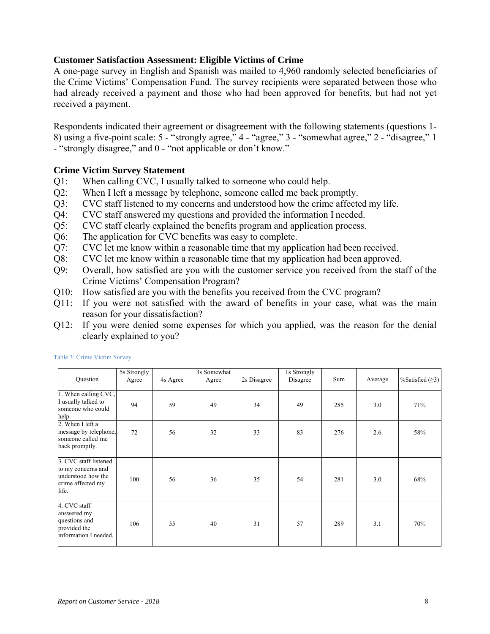## **Customer Satisfaction Assessment: Eligible Victims of Crime**

A one-page survey in English and Spanish was mailed to 4,960 randomly selected beneficiaries of the Crime Victims' Compensation Fund. The survey recipients were separated between those who had already received a payment and those who had been approved for benefits, but had not yet received a payment.

Respondents indicated their agreement or disagreement with the following statements (questions 1- 8) using a five-point scale: 5 - "strongly agree," 4 - "agree," 3 - "somewhat agree," 2 - "disagree," 1 - "strongly disagree," and 0 - "not applicable or don't know."

## **Crime Victim Survey Statement**

- Q1: When calling CVC, I usually talked to someone who could help.
- Q2: When I left a message by telephone, someone called me back promptly.
- Q3: CVC staff listened to my concerns and understood how the crime affected my life.
- Q4: CVC staff answered my questions and provided the information I needed.
- Q5: CVC staff clearly explained the benefits program and application process.
- Q6: The application for CVC benefits was easy to complete.
- Q7: CVC let me know within a reasonable time that my application had been received.
- Q8: CVC let me know within a reasonable time that my application had been approved.
- Q9: Overall, how satisfied are you with the customer service you received from the staff of the Crime Victims' Compensation Program?
- Q10: How satisfied are you with the benefits you received from the CVC program?
- Q11: If you were not satisfied with the award of benefits in your case, what was the main reason for your dissatisfaction?
- Q12: If you were denied some expenses for which you applied, was the reason for the denial clearly explained to you?

| Question                                                                                        | 5s Strongly<br>Agree | 4s Agree | 3s Somewhat<br>Agree | 2s Disagree | 1s Strongly<br>Disagree | Sum | Average | %Satisfied $(\geq 3)$ |
|-------------------------------------------------------------------------------------------------|----------------------|----------|----------------------|-------------|-------------------------|-----|---------|-----------------------|
| 1. When calling CVC,<br>I usually talked to<br>someone who could<br>help.                       | 94                   | 59       | 49                   | 34          | 49                      | 285 | 3.0     | 71%                   |
| 2. When I left a<br>message by telephone,<br>someone called me<br>back promptly.                | 72                   | 56       | 32                   | 33          | 83                      | 276 | 2.6     | 58%                   |
| 3. CVC staff listened<br>to my concerns and<br>understood how the<br>crime affected my<br>life. | 100                  | 56       | 36                   | 35          | 54                      | 281 | 3.0     | 68%                   |
| 4. CVC staff<br>answered my<br>questions and<br>provided the<br>information I needed.           | 106                  | 55       | 40                   | 31          | 57                      | 289 | 3.1     | 70%                   |

Table 3: Crime Victim Survey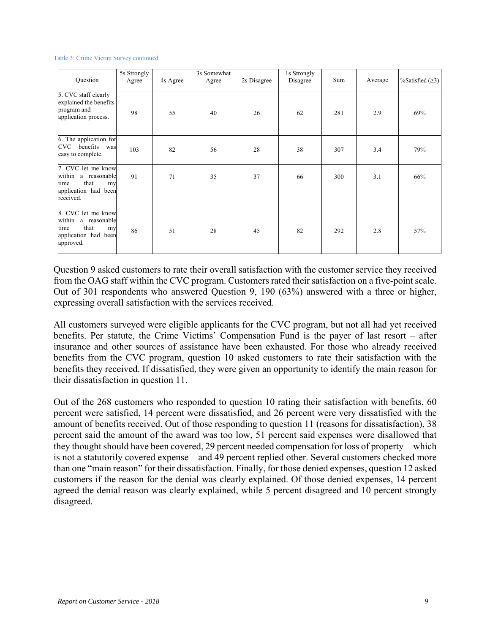#### Table 3: Crime Victim Survey continued

| Question                                                                                             | 5s Strongly<br>Agree | 4s Agree | 3s Somewhat<br>Agree | 2s Disagree | 1s Strongly<br>Disagree | Sum | Average | %Satisfied $(\geq 3)$ |
|------------------------------------------------------------------------------------------------------|----------------------|----------|----------------------|-------------|-------------------------|-----|---------|-----------------------|
| 5. CVC staff clearly<br>explained the benefits<br>program and<br>application process.                | 98                   | 55       | 40                   | 26          | 62                      | 281 | 2.9     | 69%                   |
| 6. The application for<br>CVC benefits<br>was<br>easy to complete.                                   | 103                  | 82       | 56                   | 28          | 38                      | 307 | 3.4     | 79%                   |
| 7. CVC let me know<br>within a reasonable<br>that<br>time<br>my<br>application had been<br>received. | 91                   | 71       | 35                   | 37          | 66                      | 300 | 3.1     | 66%                   |
| 8. CVC let me know<br>within a reasonable<br>that<br>time<br>my<br>application had been<br>approved. | 86                   | 51       | 28                   | 45          | 82                      | 292 | 2.8     | 57%                   |

Question 9 asked customers to rate their overall satisfaction with the customer service they received from the OAG staff within the CVC program. Customers rated their satisfaction on a five-point scale. Out of 301 respondents who answered Question 9, 190 (63%) answered with a three or higher, expressing overall satisfaction with the services received.

All customers surveyed were eligible applicants for the CVC program, but not all had yet received benefits. Per statute, the Crime Victims' Compensation Fund is the payer of last resort – after insurance and other sources of assistance have been exhausted. For those who already received benefits from the CVC program, question 10 asked customers to rate their satisfaction with the benefits they received. If dissatisfied, they were given an opportunity to identify the main reason for their dissatisfaction in question 11.

Out of the 268 customers who responded to question 10 rating their satisfaction with benefits, 60 percent were satisfied, 14 percent were dissatisfied, and 26 percent were very dissatisfied with the amount of benefits received. Out of those responding to question 11 (reasons for dissatisfaction), 38 percent said the amount of the award was too low, 51 percent said expenses were disallowed that they thought should have been covered, 29 percent needed compensation for loss of property—which is not a statutorily covered expense—and 49 percent replied other. Several customers checked more than one "main reason" for their dissatisfaction. Finally, for those denied expenses, question 12 asked customers if the reason for the denial was clearly explained. Of those denied expenses, 14 percent agreed the denial reason was clearly explained, while 5 percent disagreed and 10 percent strongly disagreed.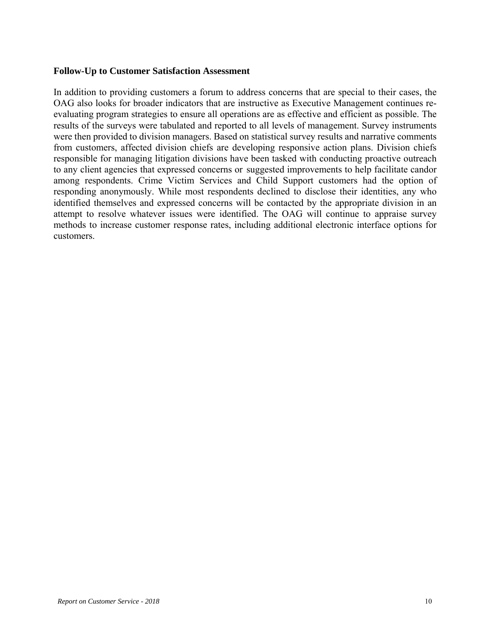### **Follow-Up to Customer Satisfaction Assessment**

In addition to providing customers a forum to address concerns that are special to their cases, the OAG also looks for broader indicators that are instructive as Executive Management continues reevaluating program strategies to ensure all operations are as effective and efficient as possible. The results of the surveys were tabulated and reported to all levels of management. Survey instruments were then provided to division managers. Based on statistical survey results and narrative comments from customers, affected division chiefs are developing responsive action plans. Division chiefs responsible for managing litigation divisions have been tasked with conducting proactive outreach to any client agencies that expressed concerns or suggested improvements to help facilitate candor among respondents. Crime Victim Services and Child Support customers had the option of responding anonymously. While most respondents declined to disclose their identities, any who identified themselves and expressed concerns will be contacted by the appropriate division in an attempt to resolve whatever issues were identified. The OAG will continue to appraise survey methods to increase customer response rates, including additional electronic interface options for customers.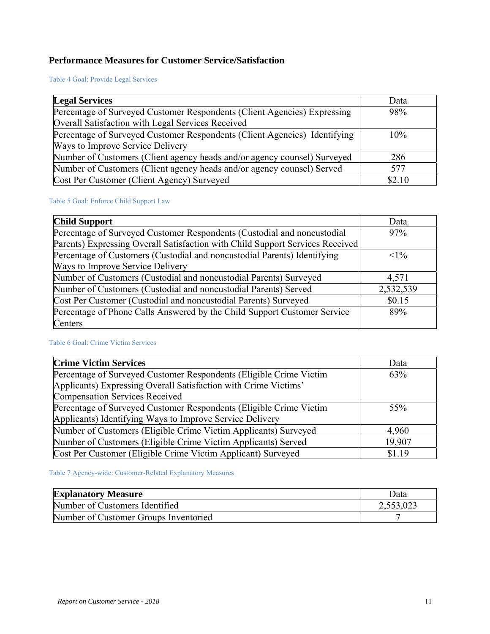# **Performance Measures for Customer Service/Satisfaction**

Table 4 Goal: Provide Legal Services

| <b>Legal Services</b>                                                     | Data   |
|---------------------------------------------------------------------------|--------|
| Percentage of Surveyed Customer Respondents (Client Agencies) Expressing  | 98%    |
| Overall Satisfaction with Legal Services Received                         |        |
| Percentage of Surveyed Customer Respondents (Client Agencies) Identifying | $10\%$ |
| Ways to Improve Service Delivery                                          |        |
| Number of Customers (Client agency heads and/or agency counsel) Surveyed  | 286    |
| Number of Customers (Client agency heads and/or agency counsel) Served    | 577    |
| Cost Per Customer (Client Agency) Surveyed                                | \$2.10 |

### Table 5 Goal: Enforce Child Support Law

| <b>Child Support</b>                                                          | Data      |
|-------------------------------------------------------------------------------|-----------|
| Percentage of Surveyed Customer Respondents (Custodial and noncustodial       | 97%       |
| Parents) Expressing Overall Satisfaction with Child Support Services Received |           |
| Percentage of Customers (Custodial and noncustodial Parents) Identifying      | $<1\%$    |
| Ways to Improve Service Delivery                                              |           |
| Number of Customers (Custodial and noncustodial Parents) Surveyed             | 4,571     |
| Number of Customers (Custodial and noncustodial Parents) Served               | 2,532,539 |
| Cost Per Customer (Custodial and noncustodial Parents) Surveyed               | \$0.15    |
| Percentage of Phone Calls Answered by the Child Support Customer Service      | 89%       |
| Centers                                                                       |           |

## Table 6 Goal: Crime Victim Services

| <b>Crime Victim Services</b>                                       | Data   |
|--------------------------------------------------------------------|--------|
| Percentage of Surveyed Customer Respondents (Eligible Crime Victim | 63%    |
| Applicants) Expressing Overall Satisfaction with Crime Victims'    |        |
| <b>Compensation Services Received</b>                              |        |
| Percentage of Surveyed Customer Respondents (Eligible Crime Victim | 55%    |
| Applicants) Identifying Ways to Improve Service Delivery           |        |
| Number of Customers (Eligible Crime Victim Applicants) Surveyed    | 4,960  |
| Number of Customers (Eligible Crime Victim Applicants) Served      | 19,907 |
| Cost Per Customer (Eligible Crime Victim Applicant) Surveyed       | \$1.19 |

Table 7 Agency-wide: Customer-Related Explanatory Measures

| <b>Explanatory Measure</b>            | Data      |
|---------------------------------------|-----------|
| Number of Customers Identified        | 2,553,023 |
| Number of Customer Groups Inventoried |           |